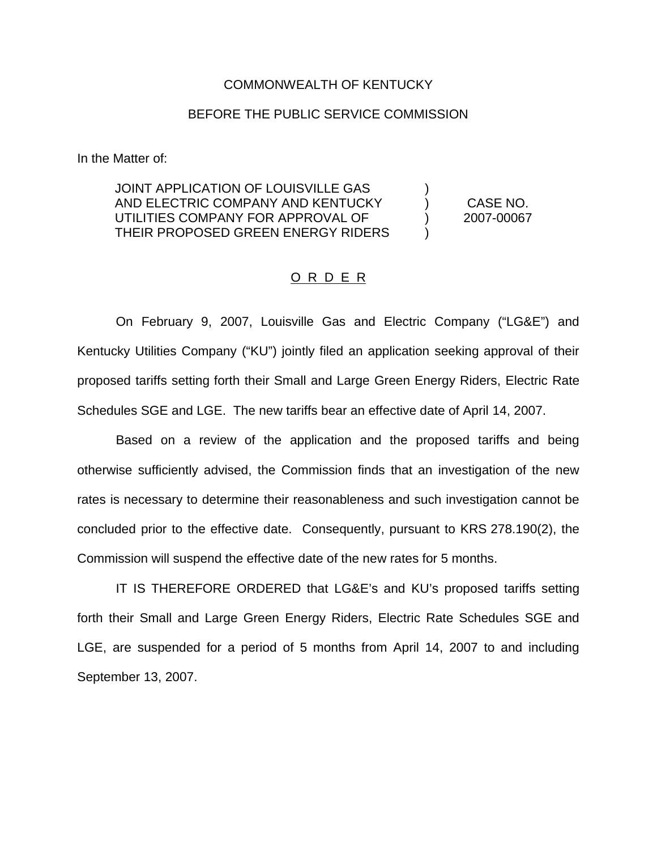## COMMONWEALTH OF KENTUCKY

## BEFORE THE PUBLIC SERVICE COMMISSION

In the Matter of:

JOINT APPLICATION OF LOUISVILLE GAS AND ELECTRIC COMPANY AND KENTUCKY (CASE NO. UTILITIES COMPANY FOR APPROVAL OF (2007-00067) THEIR PROPOSED GREEN ENERGY RIDERS )

## O R D E R

On February 9, 2007, Louisville Gas and Electric Company ("LG&E") and Kentucky Utilities Company ("KU") jointly filed an application seeking approval of their proposed tariffs setting forth their Small and Large Green Energy Riders, Electric Rate Schedules SGE and LGE. The new tariffs bear an effective date of April 14, 2007.

Based on a review of the application and the proposed tariffs and being otherwise sufficiently advised, the Commission finds that an investigation of the new rates is necessary to determine their reasonableness and such investigation cannot be concluded prior to the effective date. Consequently, pursuant to KRS 278.190(2), the Commission will suspend the effective date of the new rates for 5 months.

IT IS THEREFORE ORDERED that LG&E's and KU's proposed tariffs setting forth their Small and Large Green Energy Riders, Electric Rate Schedules SGE and LGE, are suspended for a period of 5 months from April 14, 2007 to and including September 13, 2007.